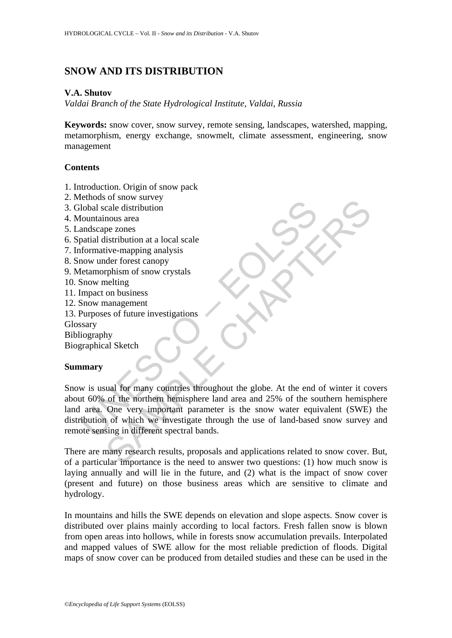# **SNOW AND ITS DISTRIBUTION**

#### **V.A. Shutov**

*Valdai Branch of the State Hydrological Institute, Valdai, Russia* 

**Keywords:** snow cover, snow survey, remote sensing, landscapes, watershed, mapping, metamorphism, energy exchange, snowmelt, climate assessment, engineering, snow management

### **Contents**

- 1. Introduction. Origin of snow pack
- 2. Methods of snow survey
- 3. Global scale distribution
- 4. Mountainous area
- 5. Landscape zones
- 6. Spatial distribution at a local scale
- 7. Informative-mapping analysis
- 8. Snow under forest canopy
- 9. Metamorphism of snow crystals
- 10. Snow melting
- 11. Impact on business
- 12. Snow management
- 13. Purposes of future investigations

Glossary

Bibliography

Biographical Sketch

### **Summary**

Example and said explicit that a local scale distribution<br>
diobal scale distribution<br>
nountainous area<br>
and<br>
now under forest canopy<br>
under forest canopy<br>
tetamorphism of snow crystals<br>
Snow management<br>
Purposes of future For some sare of the more and a state of the more and a state of the more and provide the more and provide the<br>the more of the more more of the more of the more of the more of the more of the more of the more of the more o Snow is usual for many countries throughout the globe. At the end of winter it covers about 60% of the northern hemisphere land area and 25% of the southern hemisphere land area. One very important parameter is the snow water equivalent (SWE) the distribution of which we investigate through the use of land-based snow survey and remote sensing in different spectral bands.

There are many research results, proposals and applications related to snow cover. But, of a particular importance is the need to answer two questions: (1) how much snow is laying annually and will lie in the future, and (2) what is the impact of snow cover (present and future) on those business areas which are sensitive to climate and hydrology.

In mountains and hills the SWE depends on elevation and slope aspects. Snow cover is distributed over plains mainly according to local factors. Fresh fallen snow is blown from open areas into hollows, while in forests snow accumulation prevails. Interpolated and mapped values of SWE allow for the most reliable prediction of floods. Digital maps of snow cover can be produced from detailed studies and these can be used in the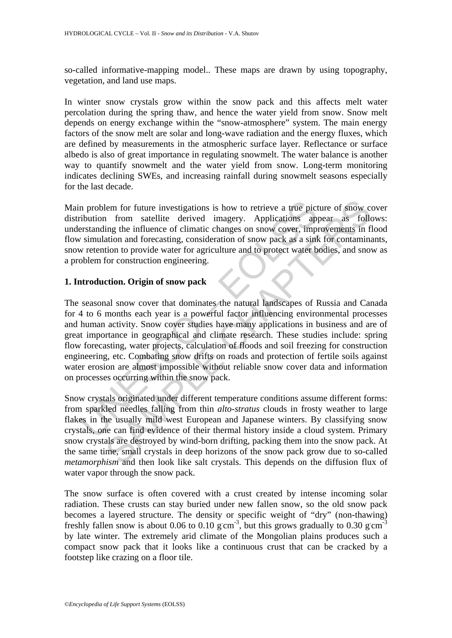so-called informative-mapping model.. These maps are drawn by using topography, vegetation, and land use maps.

In winter snow crystals grow within the snow pack and this affects melt water percolation during the spring thaw, and hence the water yield from snow. Snow melt depends on energy exchange within the "snow-atmosphere" system. The main energy factors of the snow melt are solar and long-wave radiation and the energy fluxes, which are defined by measurements in the atmospheric surface layer. Reflectance or surface albedo is also of great importance in regulating snowmelt. The water balance is another way to quantify snowmelt and the water yield from snow. Long-term monitoring indicates declining SWEs, and increasing rainfall during snowmelt seasons especially for the last decade.

Main problem for future investigations is how to retrieve a true picture of snow cover distribution from satellite derived imagery. Applications appear as follows: understanding the influence of climatic changes on snow cover, improvements in flood flow simulation and forecasting, consideration of snow pack as a sink for contaminants, snow retention to provide water for agriculture and to protect water bodies, and snow as a problem for construction engineering.

#### **1. Introduction. Origin of snow pack**

In problem for future investigations is how to retrieve a true pictivity in from satellite derived imagery. Applications apprestanding the influence of climatic changes on snow cover, imply simulation and forecasting, cons lem for future investigations is how to retrieve a true picture of snow compare a from satellite derived imagery. Applications appear as follenged the influence of climatic changes on snow cover, improvements in fation and The seasonal snow cover that dominates the natural landscapes of Russia and Canada for 4 to 6 months each year is a powerful factor influencing environmental processes and human activity. Snow cover studies have many applications in business and are of great importance in geographical and climate research. These studies include: spring flow forecasting, water projects, calculation of floods and soil freezing for construction engineering, etc. Combating snow drifts on roads and protection of fertile soils against water erosion are almost impossible without reliable snow cover data and information on processes occurring within the snow pack.

Snow crystals originated under different temperature conditions assume different forms: from sparkled needles falling from thin *alto-stratus* clouds in frosty weather to large flakes in the usually mild west European and Japanese winters. By classifying snow crystals, one can find evidence of their thermal history inside a cloud system. Primary snow crystals are destroyed by wind-born drifting, packing them into the snow pack. At the same time, small crystals in deep horizons of the snow pack grow due to so-called *metamorphism* and then look like salt crystals. This depends on the diffusion flux of water vapor through the snow pack.

The snow surface is often covered with a crust created by intense incoming solar radiation. These crusts can stay buried under new fallen snow, so the old snow pack becomes a layered structure. The density or specific weight of "dry" (non-thawing) freshly fallen snow is about 0.06 to 0.10 g cm<sup>-3</sup>, but this grows gradually to 0.30 g cm<sup>-3</sup> by late winter. The extremely arid climate of the Mongolian plains produces such a compact snow pack that it looks like a continuous crust that can be cracked by a footstep like crazing on a floor tile.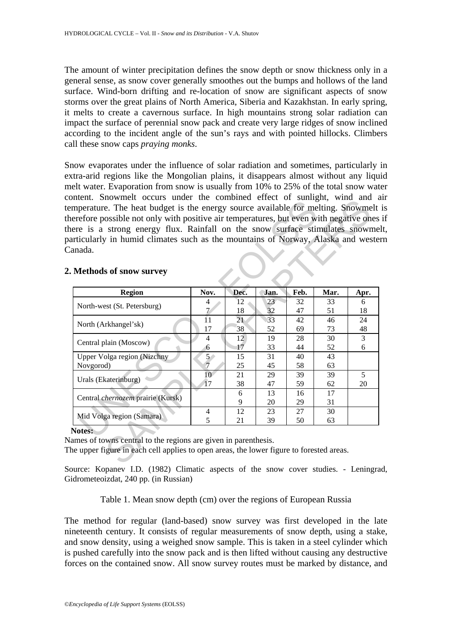The amount of winter precipitation defines the snow depth or snow thickness only in a general sense, as snow cover generally smoothes out the bumps and hollows of the land surface. Wind-born drifting and re-location of snow are significant aspects of snow storms over the great plains of North America, Siberia and Kazakhstan. In early spring, it melts to create a cavernous surface. In high mountains strong solar radiation can impact the surface of perennial snow pack and create very large ridges of snow inclined according to the incident angle of the sun's rays and with pointed hillocks. Climbers call these snow caps *praying monks*.

Snow evaporates under the influence of solar radiation and sometimes, particularly in extra-arid regions like the Mongolian plains, it disappears almost without any liquid melt water. Evaporation from snow is usually from 10% to 25% of the total snow water content. Snowmelt occurs under the combined effect of sunlight, wind and air temperature. The heat budget is the energy source available for melting. Snowmelt is therefore possible not only with positive air temperatures, but even with negative ones if there is a strong energy flux. Rainfall on the snow surface stimulates snowmelt, particularly in humid climates such as the mountains of Norway, Alaska and western Canada.

| articularly in humid climates such as the mountains of Norway, Alaska and wester<br>anada. |                 |      |      |      |      |      |
|--------------------------------------------------------------------------------------------|-----------------|------|------|------|------|------|
| <b>Methods of snow survey</b>                                                              |                 |      |      |      |      |      |
| <b>Region</b>                                                                              | Nov.            | Dec. | Jan. | Feb. | Mar. | Apr. |
|                                                                                            | 4               | 12   | 23   | 32   | 33   | 6    |
| North-west (St. Petersburg)                                                                | $\tau$          | 18   | 32   | 47   | 51   | 18   |
| North (Arkhangel'sk)                                                                       | $\overline{1}1$ | 21   | 33   | 42   | 46   | 24   |
|                                                                                            | 17              | 38   | 52   | 69   | 73   | 48   |
| Central plain (Moscow)                                                                     | 4               | 12   | 19   | 28   | 30   | 3    |
|                                                                                            | 6               | 17   | 33   | 44   | 52   | 6    |
| Upper Volga region (Nizchny                                                                | 5 <sub>1</sub>  | 15   | 31   | 40   | 43   |      |
| Novgorod)                                                                                  | $\overline{7}$  | 25   | 45   | 58   | 63   |      |
| Urals (Ekaterinburg)                                                                       | 10              | 21   | 29   | 39   | 39   | 5    |
|                                                                                            | 17              | 38   | 47   | 59   | 62   | 20   |
| Central chernozem prairie (Kursk)                                                          |                 | 6    | 13   | 16   | 17   |      |
|                                                                                            |                 | 9    | 20   | 29   | 31   |      |
| Mid Volga region (Samara)                                                                  | $\overline{4}$  | 12   | 23   | 27   | 30   |      |
|                                                                                            | 5               | 21   | 39   | 50   | 63   |      |

### **2. Methods of snow survey**

Source: Kopanev I.D. (1982) Climatic aspects of the snow cover studies. - Leningrad, Gidrometeoizdat, 240 pp. (in Russian)

Table 1. Mean snow depth (cm) over the regions of European Russia

The method for regular (land-based) snow survey was first developed in the late nineteenth century. It consists of regular measurements of snow depth, using a stake, and snow density, using a weighed snow sample. This is taken in a steel cylinder which is pushed carefully into the snow pack and is then lifted without causing any destructive forces on the contained snow. All snow survey routes must be marked by distance, and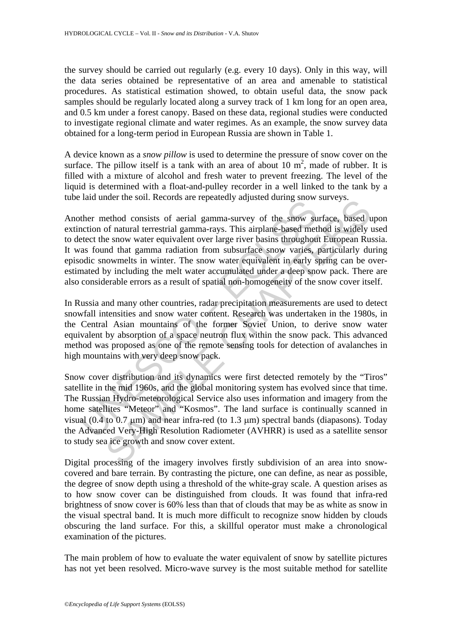the survey should be carried out regularly (e.g. every 10 days). Only in this way, will the data series obtained be representative of an area and amenable to statistical procedures. As statistical estimation showed, to obtain useful data, the snow pack samples should be regularly located along a survey track of 1 km long for an open area, and 0.5 km under a forest canopy. Based on these data, regional studies were conducted to investigate regional climate and water regimes. As an example, the snow survey data obtained for a long-term period in European Russia are shown in Table 1.

A device known as a *snow pillow* is used to determine the pressure of snow cover on the surface. The pillow itself is a tank with an area of about 10  $m^2$ , made of rubber. It is filled with a mixture of alcohol and fresh water to prevent freezing. The level of the liquid is determined with a float-and-pulley recorder in a well linked to the tank by a tube laid under the soil. Records are repeatedly adjusted during snow surveys.

And these the solit records are repeatedly adjusted daring show<br>ther method consists of aerial gamma-survey of the snow su<br>netion of natural terrestrial gamma-rays. This airplane-based met<br>etect the snow water equivalent method consists of aerial gamma-survey of the snow surveys.<br>
nethod consists of aerial gamma-survey of the snow surface, based to<br>
for natural terrestrial gamma-rays. This airplane-based method is widely to<br>
e snow water e Another method consists of aerial gamma-survey of the snow surface, based upon extinction of natural terrestrial gamma-rays. This airplane-based method is widely used to detect the snow water equivalent over large river basins throughout European Russia. It was found that gamma radiation from subsurface snow varies, particularly during episodic snowmelts in winter. The snow water equivalent in early spring can be overestimated by including the melt water accumulated under a deep snow pack. There are also considerable errors as a result of spatial non-homogeneity of the snow cover itself.

In Russia and many other countries, radar precipitation measurements are used to detect snowfall intensities and snow water content. Research was undertaken in the 1980s, in the Central Asian mountains of the former Soviet Union, to derive snow water equivalent by absorption of a space neutron flux within the snow pack. This advanced method was proposed as one of the remote sensing tools for detection of avalanches in high mountains with very deep snow pack.

Snow cover distribution and its dynamics were first detected remotely by the "Tiros" satellite in the mid 1960s, and the global monitoring system has evolved since that time. The Russian Hydro-meteorological Service also uses information and imagery from the home satellites "Meteor" and "Kosmos". The land surface is continually scanned in visual (0.4 to 0.7 μm) and near infra-red (to 1.3 μm) spectral bands (diapasons). Today the Advanced Very-High Resolution Radiometer (AVHRR) is used as a satellite sensor to study sea ice growth and snow cover extent.

Digital processing of the imagery involves firstly subdivision of an area into snowcovered and bare terrain. By contrasting the picture, one can define, as near as possible, the degree of snow depth using a threshold of the white-gray scale. A question arises as to how snow cover can be distinguished from clouds. It was found that infra-red brightness of snow cover is 60% less than that of clouds that may be as white as snow in the visual spectral band. It is much more difficult to recognize snow hidden by clouds obscuring the land surface. For this, a skillful operator must make a chronological examination of the pictures.

The main problem of how to evaluate the water equivalent of snow by satellite pictures has not yet been resolved. Micro-wave survey is the most suitable method for satellite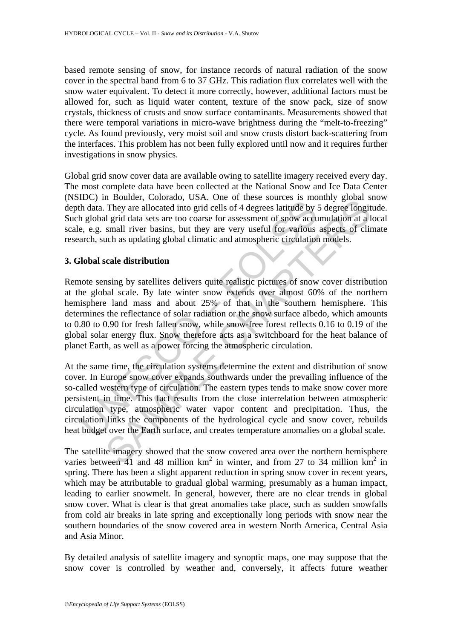based remote sensing of snow, for instance records of natural radiation of the snow cover in the spectral band from 6 to 37 GHz. This radiation flux correlates well with the snow water equivalent. To detect it more correctly, however, additional factors must be allowed for, such as liquid water content, texture of the snow pack, size of snow crystals, thickness of crusts and snow surface contaminants. Measurements showed that there were temporal variations in micro-wave brightness during the "melt-to-freezing" cycle. As found previously, very moist soil and snow crusts distort back-scattering from the interfaces. This problem has not been fully explored until now and it requires further investigations in snow physics.

Global grid snow cover data are available owing to satellite imagery received every day. The most complete data have been collected at the National Snow and Ice Data Center (NSIDC) in Boulder, Colorado, USA. One of these sources is monthly global snow depth data. They are allocated into grid cells of 4 degrees latitude by 5 degree longitude. Such global grid data sets are too coarse for assessment of snow accumulation at a local scale, e.g. small river basins, but they are very useful for various aspects of climate research, such as updating global climatic and atmospheric circulation models.

#### **3. Global scale distribution**

Local and the same time, the conclusion of the same solution in the concel solution in the and the concel solution of the same solution and the set of a set of a set of a set of a set of a set of a set of solution and a st Fiboucal, coloration grid and the solution of the solution of the solution of the magnetic means of the magnetic and many given all river basins, but they are ellocated into grid cells of 4 degrees latitude by 5 degree lo Remote sensing by satellites delivers quite realistic pictures of snow cover distribution at the global scale. By late winter snow extends over almost 60% of the northern hemisphere land mass and about 25% of that in the southern hemisphere. This determines the reflectance of solar radiation or the snow surface albedo, which amounts to 0.80 to 0.90 for fresh fallen snow, while snow-free forest reflects 0.16 to 0.19 of the global solar energy flux. Snow therefore acts as a switchboard for the heat balance of planet Earth, as well as a power forcing the atmospheric circulation.

At the same time, the circulation systems determine the extent and distribution of snow cover. In Europe snow cover expands southwards under the prevailing influence of the so-called western type of circulation. The eastern types tends to make snow cover more persistent in time. This fact results from the close interrelation between atmospheric circulation type, atmospheric water vapor content and precipitation. Thus, the circulation links the components of the hydrological cycle and snow cover, rebuilds heat budget over the Earth surface, and creates temperature anomalies on a global scale.

The satellite imagery showed that the snow covered area over the northern hemisphere varies between 41 and 48 million  $km^2$  in winter, and from 27 to 34 million  $km^2$  in spring. There has been a slight apparent reduction in spring snow cover in recent years, which may be attributable to gradual global warming, presumably as a human impact, leading to earlier snowmelt. In general, however, there are no clear trends in global snow cover. What is clear is that great anomalies take place, such as sudden snowfalls from cold air breaks in late spring and exceptionally long periods with snow near the southern boundaries of the snow covered area in western North America, Central Asia and Asia Minor.

By detailed analysis of satellite imagery and synoptic maps, one may suppose that the snow cover is controlled by weather and, conversely, it affects future weather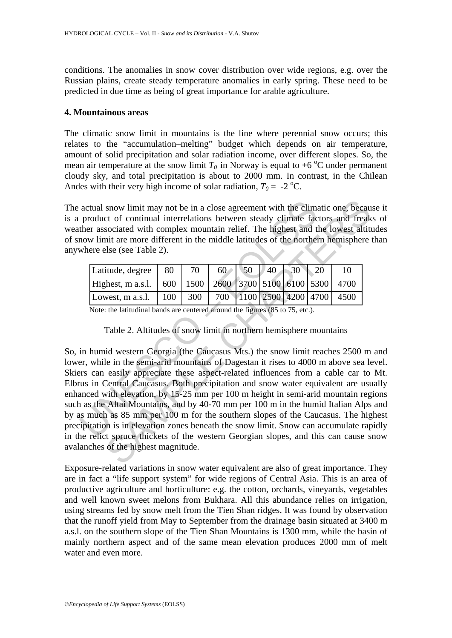conditions. The anomalies in snow cover distribution over wide regions, e.g. over the Russian plains, create steady temperature anomalies in early spring. These need to be predicted in due time as being of great importance for arable agriculture.

#### **4. Mountainous areas**

The climatic snow limit in mountains is the line where perennial snow occurs; this relates to the "accumulation–melting" budget which depends on air temperature, amount of solid precipitation and solar radiation income, over different slopes. So, the mean air temperature at the snow limit  $T_0$  in Norway is equal to +6  $\degree$ C under permanent cloudy sky, and total precipitation is about to 2000 mm. In contrast, in the Chilean Andes with their very high income of solar radiation,  $T_0 = -2$  °C.

The actual snow limit may not be in a close agreement with the climatic one, because it is a product of continual interrelations between steady climate factors and freaks of weather associated with complex mountain relief. The highest and the lowest altitudes of snow limit are more different in the middle latitudes of the northern hemisphere than anywhere else (see Table 2).

| Latitude, degree                                                       | 80         | 70  |  | $60$ 50 40 30 20 |  |                              |
|------------------------------------------------------------------------|------------|-----|--|------------------|--|------------------------------|
| Highest, m a.s.l. 600   1500   2600   3700   5100   6100   5300   4700 |            |     |  |                  |  |                              |
| Lowest, m a.s.l.                                                       | $\mid$ 100 | 300 |  |                  |  | 700 1100 2500 4200 4700 4500 |

Note: the latitudinal bands are centered around the figures (85 to 75, etc.).

Table 2. Altitudes of snow limit in northern hemisphere mountains

actual snow limit may not be in a close agreement with the clim<br>product of continual interrelations between steady climate fac<br>ther associated with complex mountain relief. The highest and t<br>now limit are more different i snow limit may not be in a close agreement with the climatic one, because to of continual interrelations between steady climate factors and freak sociated with complex mountain relief. The highest and the lowest altitudes So, in humid western Georgia (the Caucasus Mts.) the snow limit reaches 2500 m and lower, while in the semi-arid mountains of Dagestan it rises to 4000 m above sea level. Skiers can easily appreciate these aspect-related influences from a cable car to Mt. Elbrus in Central Caucasus. Both precipitation and snow water equivalent are usually enhanced with elevation, by 15-25 mm per 100 m height in semi-arid mountain regions such as the Altai Mountains, and by 40-70 mm per 100 m in the humid Italian Alps and by as much as 85 mm per 100 m for the southern slopes of the Caucasus. The highest precipitation is in elevation zones beneath the snow limit. Snow can accumulate rapidly in the relict spruce thickets of the western Georgian slopes, and this can cause snow avalanches of the highest magnitude.

Exposure-related variations in snow water equivalent are also of great importance. They are in fact a "life support system" for wide regions of Central Asia. This is an area of productive agriculture and horticulture: e.g. the cotton, orchards, vineyards, vegetables and well known sweet melons from Bukhara. All this abundance relies on irrigation, using streams fed by snow melt from the Tien Shan ridges. It was found by observation that the runoff yield from May to September from the drainage basin situated at 3400 m a.s.l. on the southern slope of the Tien Shan Mountains is 1300 mm, while the basin of mainly northern aspect and of the same mean elevation produces 2000 mm of melt water and even more.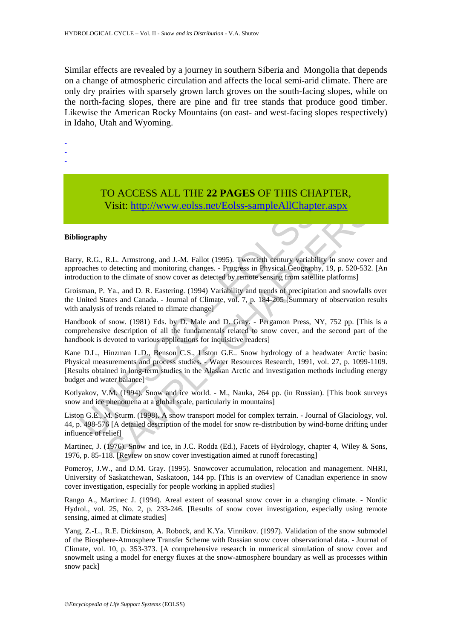Similar effects are revealed by a journey in southern Siberia and Mongolia that depends on a change of atmospheric circulation and affects the local semi-arid climate. There are only dry prairies with sparsely grown larch groves on the south-facing slopes, while on the north-facing slopes, there are pine and fir tree stands that produce good timber. Likewise the American Rocky Mountains (on east- and west-facing slopes respectively) in Idaho, Utah and Wyoming.

- -

-

## TO ACCESS ALL THE **22 PAGES** OF THIS CHAPTER, Visit: http://www.eolss.net/Eolss-sampleAllChapter.aspx

#### **Bibliography**

Barry, R.G., R.L. Armstrong, and J.-M. Fallot (1995). Twentieth century variability in snow cover and approaches to detecting and monitoring changes. - Progress in Physical Geography, 19, p. 520-532. [An introduction to the climate of snow cover as detected by remote sensing from satellite platforms]

Groisman, P. Ya., and D. R. Eastering. (1994) Variability and trends of precipitation and snowfalls over the United States and Canada. - Journal of Climate, vol. 7, p. 184-205 [Summary of observation results with analysis of trends related to climate change]

Handbook of snow. (1981) Eds. by D. Male and D. Gray. - Pergamon Press, NY, 752 pp. [This is a comprehensive description of all the fundamentals related to snow cover, and the second part of the handbook is devoted to various applications for inquisitive readers]

Visit: http://www.eolss.net/Eolss-sampleAllChaptu<br>
iography<br>
y, R.G., R.L. Armstrong, and J.-M. Fallot (1995). Twentieth century variabil<br>
backes to detecting and monitoring changes. - Progress in Physical Geograph<br>
ductio Visit: http://www.eolss.net/Eolss-sampleAllChapter.aspx<br>
R.L. Armstrong, and J.-M. Fallot (1995). Twentieth eentury variability in snow cove<br>
of detecting and monitoring changes. - Progress in Physical Geography. 19, p. 52 Kane D.L., Hinzman L.D., Benson C.S., Liston G.E.. Snow hydrology of a headwater Arctic basin: Physical measurements and process studies. - Water Resources Research, 1991, vol. 27, p. 1099-1109. [Results obtained in long-term studies in the Alaskan Arctic and investigation methods including energy budget and water balance]

Kotlyakov, V.M. (1994). Snow and ice world. - M., Nauka, 264 pp. (in Russian). [This book surveys snow and ice phenomena at a global scale, particularly in mountains]

Liston G.E., M. Sturm. (1998). A snow transport model for complex terrain. - Journal of Glaciology, vol. 44, p. 498-576 [A detailed description of the model for snow re-distribution by wind-borne drifting under influence of relief]

Martinec, J. (1976). Snow and ice, in J.C. Rodda (Ed.), Facets of Hydrology, chapter 4, Wiley & Sons, 1976, p. 85-118. [Review on snow cover investigation aimed at runoff forecasting]

Pomeroy, J.W., and D.M. Gray. (1995). Snowcover accumulation, relocation and management. NHRI, University of Saskatchewan, Saskatoon, 144 pp. [This is an overview of Canadian experience in snow cover investigation, especially for people working in applied studies]

Rango A., Martinec J. (1994). Areal extent of seasonal snow cover in a changing climate. - Nordic Hydrol., vol. 25, No. 2, p. 233-246. [Results of snow cover investigation, especially using remote sensing, aimed at climate studies]

Yang, Z.-L., R.E. Dickinson, A. Robock, and K.Ya. Vinnikov. (1997). Validation of the snow submodel of the Biosphere-Atmosphere Transfer Scheme with Russian snow cover observational data. - Journal of Climate, vol. 10, p. 353-373. [A comprehensive research in numerical simulation of snow cover and snowmelt using a model for energy fluxes at the snow-atmosphere boundary as well as processes within snow pack]